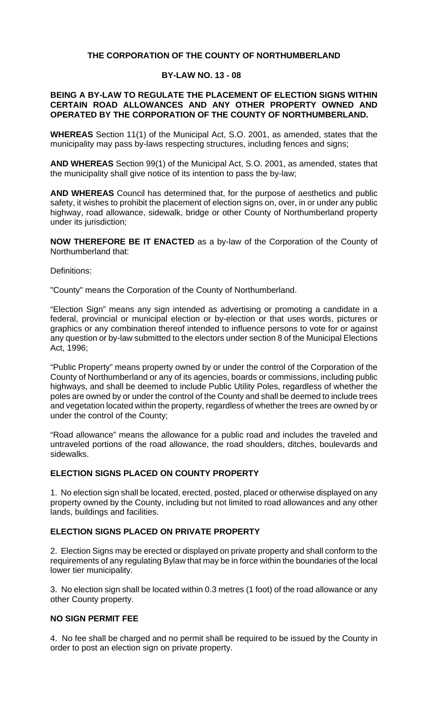## **THE CORPORATION OF THE COUNTY OF NORTHUMBERLAND**

#### **BY-LAW NO. 13 - 08**

#### **BEING A BY-LAW TO REGULATE THE PLACEMENT OF ELECTION SIGNS WITHIN CERTAIN ROAD ALLOWANCES AND ANY OTHER PROPERTY OWNED AND OPERATED BY THE CORPORATION OF THE COUNTY OF NORTHUMBERLAND.**

**WHEREAS** Section 11(1) of the Municipal Act, S.O. 2001, as amended, states that the municipality may pass by-laws respecting structures, including fences and signs;

**AND WHEREAS** Section 99(1) of the Municipal Act, S.O. 2001, as amended, states that the municipality shall give notice of its intention to pass the by-law;

**AND WHEREAS** Council has determined that, for the purpose of aesthetics and public safety, it wishes to prohibit the placement of election signs on, over, in or under any public highway, road allowance, sidewalk, bridge or other County of Northumberland property under its jurisdiction;

**NOW THEREFORE BE IT ENACTED** as a by-law of the Corporation of the County of Northumberland that:

Definitions:

"County" means the Corporation of the County of Northumberland.

"Election Sign" means any sign intended as advertising or promoting a candidate in a federal, provincial or municipal election or by-election or that uses words, pictures or graphics or any combination thereof intended to influence persons to vote for or against any question or by-law submitted to the electors under section 8 of the Municipal Elections Act, 1996;

"Public Property" means property owned by or under the control of the Corporation of the County of Northumberland or any of its agencies, boards or commissions, including public highways, and shall be deemed to include Public Utility Poles, regardless of whether the poles are owned by or under the control of the County and shall be deemed to include trees and vegetation located within the property, regardless of whether the trees are owned by or under the control of the County;

"Road allowance" means the allowance for a public road and includes the traveled and untraveled portions of the road allowance, the road shoulders, ditches, boulevards and sidewalks.

## **ELECTION SIGNS PLACED ON COUNTY PROPERTY**

1. No election sign shall be located, erected, posted, placed or otherwise displayed on any property owned by the County, including but not limited to road allowances and any other lands, buildings and facilities.

## **ELECTION SIGNS PLACED ON PRIVATE PROPERTY**

2. Election Signs may be erected or displayed on private property and shall conform to the requirements of any regulating Bylaw that may be in force within the boundaries of the local lower tier municipality.

3. No election sign shall be located within 0.3 metres (1 foot) of the road allowance or any other County property.

## **NO SIGN PERMIT FEE**

4. No fee shall be charged and no permit shall be required to be issued by the County in order to post an election sign on private property.